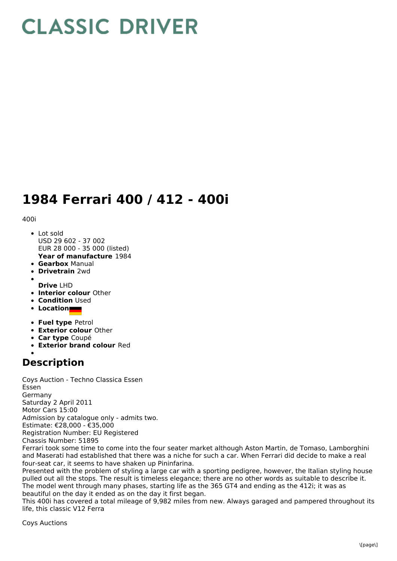## **CLASSIC DRIVER**

## **1984 Ferrari 400 / 412 - 400i**

400i

- **Year of manufacture** 1984 • Lot sold USD 29 602 - 37 002 EUR 28 000 - 35 000 (listed)
- **Gearbox** Manual
- **Drivetrain** 2wd
- 
- **Drive** LHD
- **Interior colour** Other
- **Condition Used**
- **Location**
- **Fuel type** Petrol
- **Exterior colour** Other
- **Car type** Coupé
- **Exterior brand colour** Red

## **Description**

Coys Auction - Techno Classica Essen Essen Germany Saturday 2 April 2011 Motor Cars 15:00 Admission by catalogue only - admits two. Estimate: €28,000 - €35,000 Registration Number: EU Registered Chassis Number: 51895

Ferrari took some time to come into the four seater market although Aston Martin, de Tomaso, Lamborghini and Maserati had established that there was a niche for such a car. When Ferrari did decide to make a real four-seat car, it seems to have shaken up Pininfarina.

Presented with the problem of styling a large car with a sporting pedigree, however, the Italian styling house pulled out all the stops. The result is timeless elegance; there are no other words as suitable to describe it. The model went through many phases, starting life as the 365 GT4 and ending as the 412i; it was as beautiful on the day it ended as on the day it first began.

This 400i has covered a total mileage of 9,982 miles from new. Always garaged and pampered throughout its life, this classic V12 Ferra

Coys Auctions